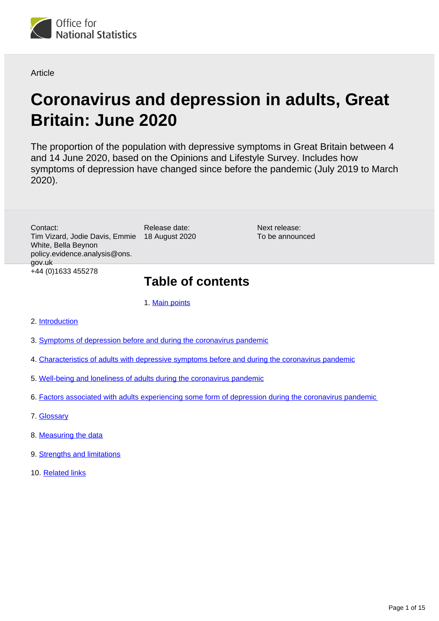

#### **Article**

# **Coronavirus and depression in adults, Great Britain: June 2020**

The proportion of the population with depressive symptoms in Great Britain between 4 and 14 June 2020, based on the Opinions and Lifestyle Survey. Includes how symptoms of depression have changed since before the pandemic (July 2019 to March 2020).

Tim Vizard, Jodie Davis, Emmie 18 August 2020 Contact: White, Bella Beynon policy.evidence.analysis@ons. gov.uk +44 (0)1633 455278

Release date:

Next release: To be announced

## **Table of contents**

1. [Main points](#page-1-0)

- 2. [Introduction](#page-1-1)
- 3. [Symptoms of depression before and during the coronavirus pandemic](#page-3-0)
- 4. [Characteristics of adults with depressive symptoms before and during the coronavirus pandemic](#page-3-1)
- 5. [Well-being and loneliness of adults during the coronavirus pandemic](#page-6-0)
- 6. [Factors associated with adults experiencing some form of depression during the coronavirus pandemic](#page-8-0)
- 7. [Glossary](#page-9-0)
- 8. [Measuring the data](#page-11-0)
- 9. **[Strengths and limitations](#page-13-0)**
- 10. [Related links](#page-14-0)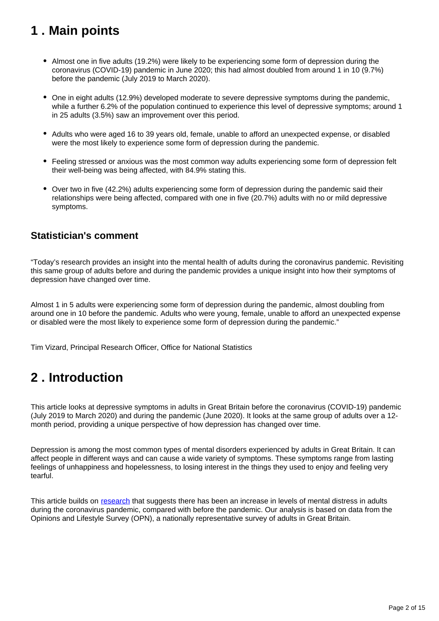## <span id="page-1-0"></span>**1 . Main points**

- Almost one in five adults (19.2%) were likely to be experiencing some form of depression during the coronavirus (COVID-19) pandemic in June 2020; this had almost doubled from around 1 in 10 (9.7%) before the pandemic (July 2019 to March 2020).
- One in eight adults (12.9%) developed moderate to severe depressive symptoms during the pandemic, while a further 6.2% of the population continued to experience this level of depressive symptoms; around 1 in 25 adults (3.5%) saw an improvement over this period.
- Adults who were aged 16 to 39 years old, female, unable to afford an unexpected expense, or disabled were the most likely to experience some form of depression during the pandemic.
- Feeling stressed or anxious was the most common way adults experiencing some form of depression felt their well-being was being affected, with 84.9% stating this.
- Over two in five (42.2%) adults experiencing some form of depression during the pandemic said their relationships were being affected, compared with one in five (20.7%) adults with no or mild depressive symptoms.

### **Statistician's comment**

"Today's research provides an insight into the mental health of adults during the coronavirus pandemic. Revisiting this same group of adults before and during the pandemic provides a unique insight into how their symptoms of depression have changed over time.

Almost 1 in 5 adults were experiencing some form of depression during the pandemic, almost doubling from around one in 10 before the pandemic. Adults who were young, female, unable to afford an unexpected expense or disabled were the most likely to experience some form of depression during the pandemic."

Tim Vizard, Principal Research Officer, Office for National Statistics

## <span id="page-1-1"></span>**2 . Introduction**

This article looks at depressive symptoms in adults in Great Britain before the coronavirus (COVID-19) pandemic (July 2019 to March 2020) and during the pandemic (June 2020). It looks at the same group of adults over a 12 month period, providing a unique perspective of how depression has changed over time.

Depression is among the most common types of mental disorders experienced by adults in Great Britain. It can affect people in different ways and can cause a wide variety of symptoms. These symptoms range from lasting feelings of unhappiness and hopelessness, to losing interest in the things they used to enjoy and feeling very tearful.

This article builds on [research](https://www.thelancet.com/journals/lanpsy/article/PIIS2215-0366(20)30308-4/fulltext) that suggests there has been an increase in levels of mental distress in adults during the coronavirus pandemic, compared with before the pandemic. Our analysis is based on data from the Opinions and Lifestyle Survey (OPN), a nationally representative survey of adults in Great Britain.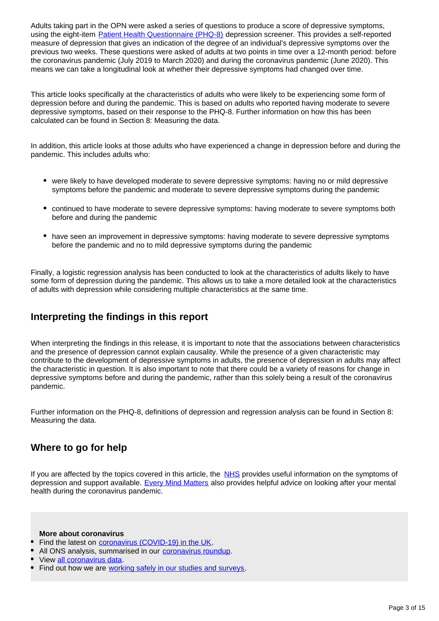Adults taking part in the OPN were asked a series of questions to produce a score of depressive symptoms, using the eight-item **[Patient Health Questionnaire \(PHQ-8\)](https://www.phqscreeners.com/)** depression screener. This provides a self-reported measure of depression that gives an indication of the degree of an individual's depressive symptoms over the previous two weeks. These questions were asked of adults at two points in time over a 12-month period: before the coronavirus pandemic (July 2019 to March 2020) and during the coronavirus pandemic (June 2020). This means we can take a longitudinal look at whether their depressive symptoms had changed over time.

This article looks specifically at the characteristics of adults who were likely to be experiencing some form of depression before and during the pandemic. This is based on adults who reported having moderate to severe depressive symptoms, based on their response to the PHQ-8. Further information on how this has been calculated can be found in Section 8: Measuring the data.

In addition, this article looks at those adults who have experienced a change in depression before and during the pandemic. This includes adults who:

- were likely to have developed moderate to severe depressive symptoms: having no or mild depressive symptoms before the pandemic and moderate to severe depressive symptoms during the pandemic
- continued to have moderate to severe depressive symptoms: having moderate to severe symptoms both before and during the pandemic
- have seen an improvement in depressive symptoms: having moderate to severe depressive symptoms before the pandemic and no to mild depressive symptoms during the pandemic

Finally, a logistic regression analysis has been conducted to look at the characteristics of adults likely to have some form of depression during the pandemic. This allows us to take a more detailed look at the characteristics of adults with depression while considering multiple characteristics at the same time.

## **Interpreting the findings in this report**

When interpreting the findings in this release, it is important to note that the associations between characteristics and the presence of depression cannot explain causality. While the presence of a given characteristic may contribute to the development of depressive symptoms in adults, the presence of depression in adults may affect the characteristic in question. It is also important to note that there could be a variety of reasons for change in depressive symptoms before and during the pandemic, rather than this solely being a result of the coronavirus pandemic.

Further information on the PHQ-8, definitions of depression and regression analysis can be found in Section 8: Measuring the data.

## **Where to go for help**

If you are affected by the topics covered in this article, the [NHS](https://www.nhs.uk/conditions/clinical-depression/) provides useful information on the symptoms of depression and support available. [Every Mind Matters](https://www.nhs.uk/oneyou/every-mind-matters/coronavirus-covid-19-staying-at-home-tips/) also provides helpful advice on looking after your mental health during the coronavirus pandemic.

**More about coronavirus**

- Find the latest on [coronavirus \(COVID-19\) in the UK](https://www.ons.gov.uk/peoplepopulationandcommunity/healthandsocialcare/conditionsanddiseases).
- All ONS analysis, summarised in our [coronavirus roundup.](https://www.ons.gov.uk/peoplepopulationandcommunity/healthandsocialcare/conditionsanddiseases/articles/coronaviruscovid19roundup/latest)
- View [all coronavirus data.](https://www.ons.gov.uk/peoplepopulationandcommunity/healthandsocialcare/conditionsanddiseases/datalist)

Find out how we are [working safely in our studies and surveys](https://www.ons.gov.uk/news/statementsandletters/ensuringyoursafetyduringcovid19).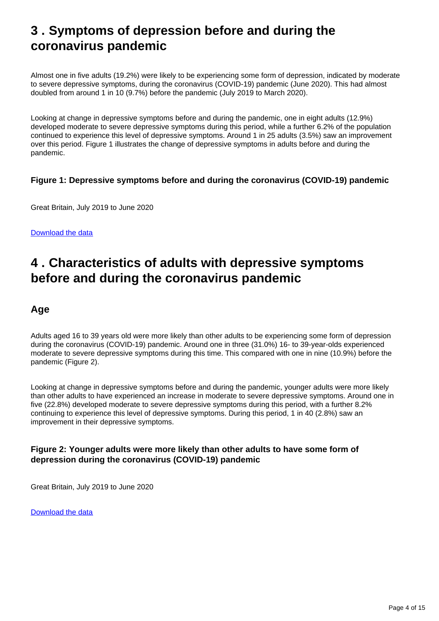## <span id="page-3-0"></span>**3 . Symptoms of depression before and during the coronavirus pandemic**

Almost one in five adults (19.2%) were likely to be experiencing some form of depression, indicated by moderate to severe depressive symptoms, during the coronavirus (COVID-19) pandemic (June 2020). This had almost doubled from around 1 in 10 (9.7%) before the pandemic (July 2019 to March 2020).

Looking at change in depressive symptoms before and during the pandemic, one in eight adults (12.9%) developed moderate to severe depressive symptoms during this period, while a further 6.2% of the population continued to experience this level of depressive symptoms. Around 1 in 25 adults (3.5%) saw an improvement over this period. Figure 1 illustrates the change of depressive symptoms in adults before and during the pandemic.

#### **Figure 1: Depressive symptoms before and during the coronavirus (COVID-19) pandemic**

Great Britain, July 2019 to June 2020

[Download the data](https://www.ons.gov.uk/visualisations/dvc945/sankey/figure1.xlsx)

## <span id="page-3-1"></span>**4 . Characteristics of adults with depressive symptoms before and during the coronavirus pandemic**

### **Age**

Adults aged 16 to 39 years old were more likely than other adults to be experiencing some form of depression during the coronavirus (COVID-19) pandemic. Around one in three (31.0%) 16- to 39-year-olds experienced moderate to severe depressive symptoms during this time. This compared with one in nine (10.9%) before the pandemic (Figure 2).

Looking at change in depressive symptoms before and during the pandemic, younger adults were more likely than other adults to have experienced an increase in moderate to severe depressive symptoms. Around one in five (22.8%) developed moderate to severe depressive symptoms during this period, with a further 8.2% continuing to experience this level of depressive symptoms. During this period, 1 in 40 (2.8%) saw an improvement in their depressive symptoms.

#### **Figure 2: Younger adults were more likely than other adults to have some form of depression during the coronavirus (COVID-19) pandemic**

Great Britain, July 2019 to June 2020

[Download the data](https://www.ons.gov.uk/visualisations/dvc945/age/figure2.xlsx)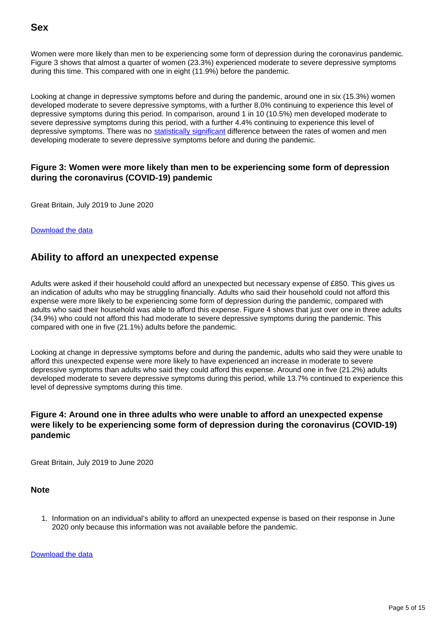Women were more likely than men to be experiencing some form of depression during the coronavirus pandemic. Figure 3 shows that almost a quarter of women (23.3%) experienced moderate to severe depressive symptoms during this time. This compared with one in eight (11.9%) before the pandemic.

Looking at change in depressive symptoms before and during the pandemic, around one in six (15.3%) women developed moderate to severe depressive symptoms, with a further 8.0% continuing to experience this level of depressive symptoms during this period. In comparison, around 1 in 10 (10.5%) men developed moderate to severe depressive symptoms during this period, with a further 4.4% continuing to experience this level of depressive symptoms. There was no [statistically significant](https://www.ons.gov.uk/methodology/methodologytopicsandstatisticalconcepts/uncertaintyandhowwemeasureit#statistical-significance) difference between the rates of women and men developing moderate to severe depressive symptoms before and during the pandemic.

#### **Figure 3: Women were more likely than men to be experiencing some form of depression during the coronavirus (COVID-19) pandemic**

Great Britain, July 2019 to June 2020

[Download the data](https://www.ons.gov.uk/visualisations/dvc945/sex/figure3.xlsx)

## **Ability to afford an unexpected expense**

Adults were asked if their household could afford an unexpected but necessary expense of £850. This gives us an indication of adults who may be struggling financially. Adults who said their household could not afford this expense were more likely to be experiencing some form of depression during the pandemic, compared with adults who said their household was able to afford this expense. Figure 4 shows that just over one in three adults (34.9%) who could not afford this had moderate to severe depressive symptoms during the pandemic. This compared with one in five (21.1%) adults before the pandemic.

Looking at change in depressive symptoms before and during the pandemic, adults who said they were unable to afford this unexpected expense were more likely to have experienced an increase in moderate to severe depressive symptoms than adults who said they could afford this expense. Around one in five (21.2%) adults developed moderate to severe depressive symptoms during this period, while 13.7% continued to experience this level of depressive symptoms during this time.

#### **Figure 4: Around one in three adults who were unable to afford an unexpected expense were likely to be experiencing some form of depression during the coronavirus (COVID-19) pandemic**

Great Britain, July 2019 to June 2020

**Note**

1. Information on an individual's ability to afford an unexpected expense is based on their response in June 2020 only because this information was not available before the pandemic.

[Download the data](https://www.ons.gov.uk/visualisations/dvc945/finance/figure4.xlsx)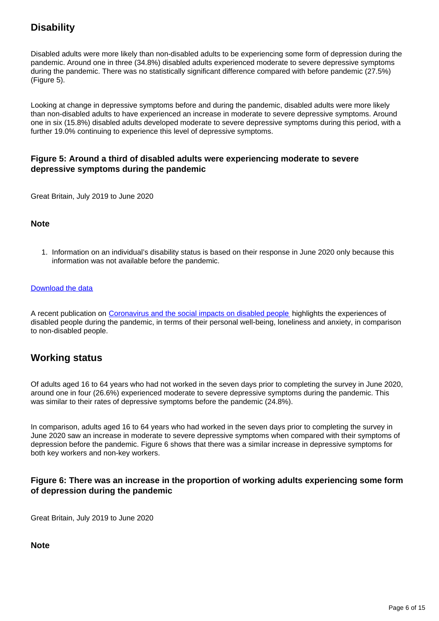## **Disability**

Disabled adults were more likely than non-disabled adults to be experiencing some form of depression during the pandemic. Around one in three (34.8%) disabled adults experienced moderate to severe depressive symptoms during the pandemic. There was no statistically significant difference compared with before pandemic (27.5%) (Figure 5).

Looking at change in depressive symptoms before and during the pandemic, disabled adults were more likely than non-disabled adults to have experienced an increase in moderate to severe depressive symptoms. Around one in six (15.8%) disabled adults developed moderate to severe depressive symptoms during this period, with a further 19.0% continuing to experience this level of depressive symptoms.

#### **Figure 5: Around a third of disabled adults were experiencing moderate to severe depressive symptoms during the pandemic**

Great Britain, July 2019 to June 2020

#### **Note**

1. Information on an individual's disability status is based on their response in June 2020 only because this information was not available before the pandemic.

#### [Download the data](https://www.ons.gov.uk/visualisations/dvc945/disabled/figure5.xlsx)

A recent publication on [Coronavirus and the social impacts on disabled people](https://www.ons.gov.uk/peoplepopulationandcommunity/healthandsocialcare/disability/articles/coronavirusandthesocialimpactsondisabledpeopleingreatbritain/may2020) highlights the experiences of disabled people during the pandemic, in terms of their personal well-being, loneliness and anxiety, in comparison to non-disabled people.

## **Working status**

Of adults aged 16 to 64 years who had not worked in the seven days prior to completing the survey in June 2020, around one in four (26.6%) experienced moderate to severe depressive symptoms during the pandemic. This was similar to their rates of depressive symptoms before the pandemic (24.8%).

In comparison, adults aged 16 to 64 years who had worked in the seven days prior to completing the survey in June 2020 saw an increase in moderate to severe depressive symptoms when compared with their symptoms of depression before the pandemic. Figure 6 shows that there was a similar increase in depressive symptoms for both key workers and non-key workers.

#### **Figure 6: There was an increase in the proportion of working adults experiencing some form of depression during the pandemic**

Great Britain, July 2019 to June 2020

**Note**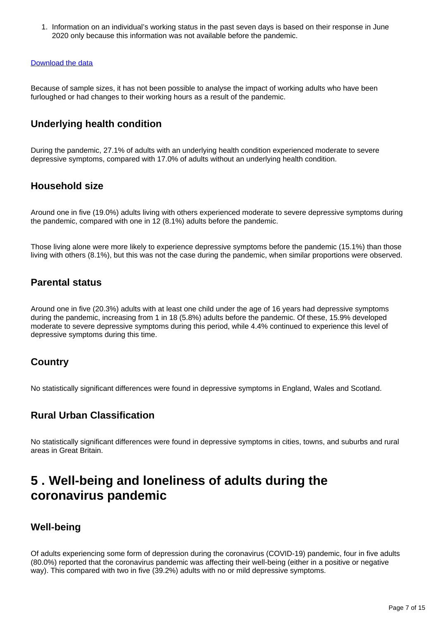1. Information on an individual's working status in the past seven days is based on their response in June 2020 only because this information was not available before the pandemic.

#### [Download the data](https://www.ons.gov.uk/visualisations/dvc945/status/figure6.xlsx)

Because of sample sizes, it has not been possible to analyse the impact of working adults who have been furloughed or had changes to their working hours as a result of the pandemic.

## **Underlying health condition**

During the pandemic, 27.1% of adults with an underlying health condition experienced moderate to severe depressive symptoms, compared with 17.0% of adults without an underlying health condition.

### **Household size**

Around one in five (19.0%) adults living with others experienced moderate to severe depressive symptoms during the pandemic, compared with one in 12 (8.1%) adults before the pandemic.

Those living alone were more likely to experience depressive symptoms before the pandemic (15.1%) than those living with others (8.1%), but this was not the case during the pandemic, when similar proportions were observed.

### **Parental status**

Around one in five (20.3%) adults with at least one child under the age of 16 years had depressive symptoms during the pandemic, increasing from 1 in 18 (5.8%) adults before the pandemic. Of these, 15.9% developed moderate to severe depressive symptoms during this period, while 4.4% continued to experience this level of depressive symptoms during this time.

### **Country**

No statistically significant differences were found in depressive symptoms in England, Wales and Scotland.

### **Rural Urban Classification**

No statistically significant differences were found in depressive symptoms in cities, towns, and suburbs and rural areas in Great Britain.

## <span id="page-6-0"></span>**5 . Well-being and loneliness of adults during the coronavirus pandemic**

### **Well-being**

Of adults experiencing some form of depression during the coronavirus (COVID-19) pandemic, four in five adults (80.0%) reported that the coronavirus pandemic was affecting their well-being (either in a positive or negative way). This compared with two in five (39.2%) adults with no or mild depressive symptoms.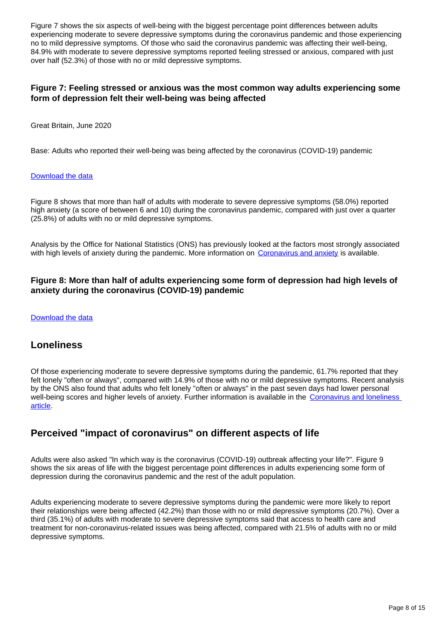Figure 7 shows the six aspects of well-being with the biggest percentage point differences between adults experiencing moderate to severe depressive symptoms during the coronavirus pandemic and those experiencing no to mild depressive symptoms. Of those who said the coronavirus pandemic was affecting their well-being, 84.9% with moderate to severe depressive symptoms reported feeling stressed or anxious, compared with just over half (52.3%) of those with no or mild depressive symptoms.

#### **Figure 7: Feeling stressed or anxious was the most common way adults experiencing some form of depression felt their well-being was being affected**

Great Britain, June 2020

Base: Adults who reported their well-being was being affected by the coronavirus (COVID-19) pandemic

#### [Download the data](https://www.ons.gov.uk/visualisations/dvc945/aspectsofwellbeing/figure7.xlsx)

Figure 8 shows that more than half of adults with moderate to severe depressive symptoms (58.0%) reported high anxiety (a score of between 6 and 10) during the coronavirus pandemic, compared with just over a quarter (25.8%) of adults with no or mild depressive symptoms.

Analysis by the Office for National Statistics (ONS) has previously looked at the factors most strongly associated with high levels of anxiety during the pandemic. More information on [Coronavirus and anxiety](https://www.ons.gov.uk/peoplepopulationandcommunity/wellbeing/articles/coronavirusandanxietygreatbritain/3april2020to10may2020) is available.

#### **Figure 8: More than half of adults experiencing some form of depression had high levels of anxiety during the coronavirus (COVID-19) pandemic**

#### [Download the data](https://www.ons.gov.uk/visualisations/dvc945/anxiety/figure8.xlsx)

#### **Loneliness**

Of those experiencing moderate to severe depressive symptoms during the pandemic, 61.7% reported that they felt lonely "often or always", compared with 14.9% of those with no or mild depressive symptoms. Recent analysis by the ONS also found that adults who felt lonely "often or always" in the past seven days had lower personal well-being scores and higher levels of anxiety. Further information is available in the [Coronavirus and loneliness](https://www.ons.gov.uk/peoplepopulationandcommunity/wellbeing/bulletins/coronavirusandlonelinessgreatbritain/3aprilto3may2020)  [article.](https://www.ons.gov.uk/peoplepopulationandcommunity/wellbeing/bulletins/coronavirusandlonelinessgreatbritain/3aprilto3may2020)

### **Perceived "impact of coronavirus" on different aspects of life**

Adults were also asked "In which way is the coronavirus (COVID-19) outbreak affecting your life?". Figure 9 shows the six areas of life with the biggest percentage point differences in adults experiencing some form of depression during the coronavirus pandemic and the rest of the adult population.

Adults experiencing moderate to severe depressive symptoms during the pandemic were more likely to report their relationships were being affected (42.2%) than those with no or mild depressive symptoms (20.7%). Over a third (35.1%) of adults with moderate to severe depressive symptoms said that access to health care and treatment for non-coronavirus-related issues was being affected, compared with 21.5% of adults with no or mild depressive symptoms.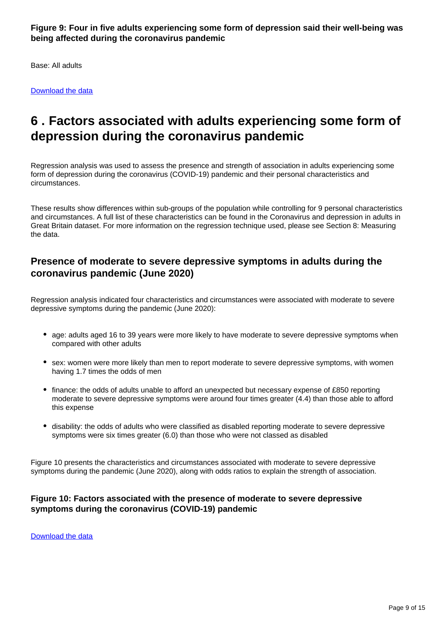**Figure 9: Four in five adults experiencing some form of depression said their well-being was being affected during the coronavirus pandemic**

Base: All adults

[Download the data](https://www.ons.gov.uk/visualisations/dvc945/aspectsoflife/figure9.xlsx)

## <span id="page-8-0"></span>**6 . Factors associated with adults experiencing some form of depression during the coronavirus pandemic**

Regression analysis was used to assess the presence and strength of association in adults experiencing some form of depression during the coronavirus (COVID-19) pandemic and their personal characteristics and circumstances.

These results show differences within sub-groups of the population while controlling for 9 personal characteristics and circumstances. A full list of these characteristics can be found in the Coronavirus and depression in adults in Great Britain dataset. For more information on the regression technique used, please see Section 8: Measuring the data.

## **Presence of moderate to severe depressive symptoms in adults during the coronavirus pandemic (June 2020)**

Regression analysis indicated four characteristics and circumstances were associated with moderate to severe depressive symptoms during the pandemic (June 2020):

- age: adults aged 16 to 39 years were more likely to have moderate to severe depressive symptoms when compared with other adults
- sex: women were more likely than men to report moderate to severe depressive symptoms, with women having 1.7 times the odds of men
- finance: the odds of adults unable to afford an unexpected but necessary expense of £850 reporting moderate to severe depressive symptoms were around four times greater (4.4) than those able to afford this expense
- disability: the odds of adults who were classified as disabled reporting moderate to severe depressive symptoms were six times greater (6.0) than those who were not classed as disabled

Figure 10 presents the characteristics and circumstances associated with moderate to severe depressive symptoms during the pandemic (June 2020), along with odds ratios to explain the strength of association.

#### **Figure 10: Factors associated with the presence of moderate to severe depressive symptoms during the coronavirus (COVID-19) pandemic**

[Download the data](https://www.ons.gov.uk/visualisations/dvc945/existence/figure10.xlsx)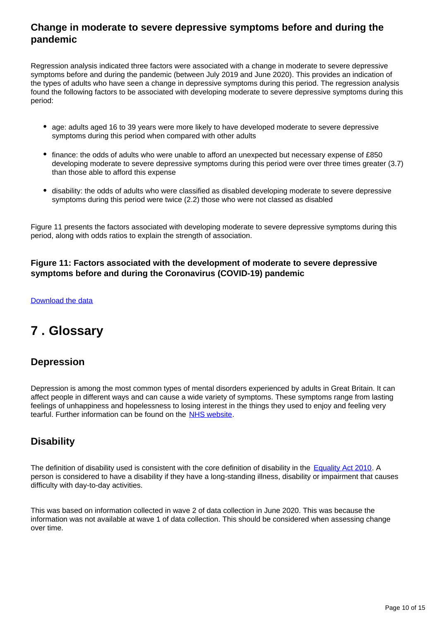## **Change in moderate to severe depressive symptoms before and during the pandemic**

Regression analysis indicated three factors were associated with a change in moderate to severe depressive symptoms before and during the pandemic (between July 2019 and June 2020). This provides an indication of the types of adults who have seen a change in depressive symptoms during this period. The regression analysis found the following factors to be associated with developing moderate to severe depressive symptoms during this period:

- age: adults aged 16 to 39 years were more likely to have developed moderate to severe depressive symptoms during this period when compared with other adults
- finance: the odds of adults who were unable to afford an unexpected but necessary expense of £850 developing moderate to severe depressive symptoms during this period were over three times greater (3.7) than those able to afford this expense
- disability: the odds of adults who were classified as disabled developing moderate to severe depressive symptoms during this period were twice (2.2) those who were not classed as disabled

Figure 11 presents the factors associated with developing moderate to severe depressive symptoms during this period, along with odds ratios to explain the strength of association.

#### **Figure 11: Factors associated with the development of moderate to severe depressive symptoms before and during the Coronavirus (COVID-19) pandemic**

#### [Download the data](https://www.ons.gov.uk/visualisations/dvc945/worsening/figure11.xlsx)

## <span id="page-9-0"></span>**7 . Glossary**

### **Depression**

Depression is among the most common types of mental disorders experienced by adults in Great Britain. It can affect people in different ways and can cause a wide variety of symptoms. These symptoms range from lasting feelings of unhappiness and hopelessness to losing interest in the things they used to enjoy and feeling very tearful. Further information can be found on the [NHS website](https://www.nhs.uk/conditions/clinical-depression/).

### **Disability**

The definition of disability used is consistent with the core definition of disability in the [Equality Act 2010](https://www.legislation.gov.uk/ukpga/2010/15/contents). A person is considered to have a disability if they have a long-standing illness, disability or impairment that causes difficulty with day-to-day activities.

This was based on information collected in wave 2 of data collection in June 2020. This was because the information was not available at wave 1 of data collection. This should be considered when assessing change over time.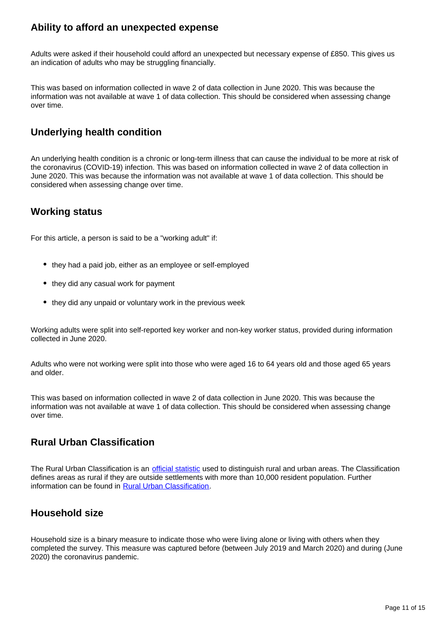## **Ability to afford an unexpected expense**

Adults were asked if their household could afford an unexpected but necessary expense of £850. This gives us an indication of adults who may be struggling financially.

This was based on information collected in wave 2 of data collection in June 2020. This was because the information was not available at wave 1 of data collection. This should be considered when assessing change over time.

## **Underlying health condition**

An underlying health condition is a chronic or long-term illness that can cause the individual to be more at risk of the coronavirus (COVID-19) infection. This was based on information collected in wave 2 of data collection in June 2020. This was because the information was not available at wave 1 of data collection. This should be considered when assessing change over time.

## **Working status**

For this article, a person is said to be a "working adult" if:

- they had a paid job, either as an employee or self-employed
- they did any casual work for payment
- they did any unpaid or voluntary work in the previous week

Working adults were split into self-reported key worker and non-key worker status, provided during information collected in June 2020.

Adults who were not working were split into those who were aged 16 to 64 years old and those aged 65 years and older.

This was based on information collected in wave 2 of data collection in June 2020. This was because the information was not available at wave 1 of data collection. This should be considered when assessing change over time.

## **Rural Urban Classification**

The Rural Urban Classification is an [official statistic](https://www.statisticsauthority.gov.uk/about-the-authority/uk-statistical-system/types-of-official-statistics/) used to distinguish rural and urban areas. The Classification defines areas as rural if they are outside settlements with more than 10,000 resident population. Further information can be found in [Rural Urban Classification.](https://www.gov.uk/government/collections/rural-urban-classification)

## **Household size**

Household size is a binary measure to indicate those who were living alone or living with others when they completed the survey. This measure was captured before (between July 2019 and March 2020) and during (June 2020) the coronavirus pandemic.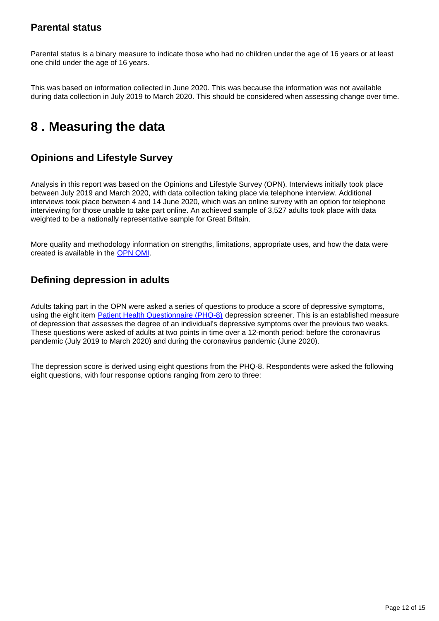## **Parental status**

Parental status is a binary measure to indicate those who had no children under the age of 16 years or at least one child under the age of 16 years.

This was based on information collected in June 2020. This was because the information was not available during data collection in July 2019 to March 2020. This should be considered when assessing change over time.

## <span id="page-11-0"></span>**8 . Measuring the data**

## **Opinions and Lifestyle Survey**

Analysis in this report was based on the Opinions and Lifestyle Survey (OPN). Interviews initially took place between July 2019 and March 2020, with data collection taking place via telephone interview. Additional interviews took place between 4 and 14 June 2020, which was an online survey with an option for telephone interviewing for those unable to take part online. An achieved sample of 3,527 adults took place with data weighted to be a nationally representative sample for Great Britain.

More quality and methodology information on strengths, limitations, appropriate uses, and how the data were created is available in the [OPN QMI.](https://www.ons.gov.uk/peoplepopulationandcommunity/healthandsocialcare/healthandlifeexpectancies/methodologies/opinionsandlifestylesurveyqmi)

## **Defining depression in adults**

Adults taking part in the OPN were asked a series of questions to produce a score of depressive symptoms, using the eight item **Patient Health Questionnaire (PHQ-8)** depression screener. This is an established measure of depression that assesses the degree of an individual's depressive symptoms over the previous two weeks. These questions were asked of adults at two points in time over a 12-month period: before the coronavirus pandemic (July 2019 to March 2020) and during the coronavirus pandemic (June 2020).

The depression score is derived using eight questions from the PHQ-8. Respondents were asked the following eight questions, with four response options ranging from zero to three: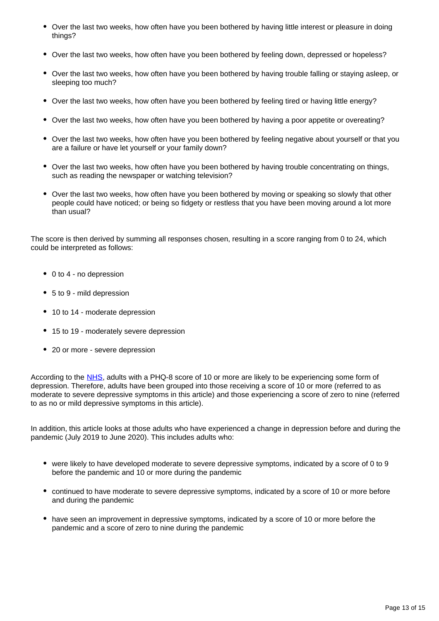- Over the last two weeks, how often have you been bothered by having little interest or pleasure in doing things?
- Over the last two weeks, how often have you been bothered by feeling down, depressed or hopeless?
- Over the last two weeks, how often have you been bothered by having trouble falling or staying asleep, or sleeping too much?
- Over the last two weeks, how often have you been bothered by feeling tired or having little energy?
- Over the last two weeks, how often have you been bothered by having a poor appetite or overeating?
- Over the last two weeks, how often have you been bothered by feeling negative about yourself or that you are a failure or have let yourself or your family down?
- Over the last two weeks, how often have you been bothered by having trouble concentrating on things, such as reading the newspaper or watching television?
- Over the last two weeks, how often have you been bothered by moving or speaking so slowly that other people could have noticed; or being so fidgety or restless that you have been moving around a lot more than usual?

The score is then derived by summing all responses chosen, resulting in a score ranging from 0 to 24, which could be interpreted as follows:

- 0 to 4 no depression
- 5 to 9 mild depression
- 10 to 14 moderate depression
- 15 to 19 moderately severe depression
- 20 or more severe depression

According to the [NHS](https://www.nhs.uk/conditions/clinical-depression/), adults with a PHQ-8 score of 10 or more are likely to be experiencing some form of depression. Therefore, adults have been grouped into those receiving a score of 10 or more (referred to as moderate to severe depressive symptoms in this article) and those experiencing a score of zero to nine (referred to as no or mild depressive symptoms in this article).

In addition, this article looks at those adults who have experienced a change in depression before and during the pandemic (July 2019 to June 2020). This includes adults who:

- were likely to have developed moderate to severe depressive symptoms, indicated by a score of 0 to 9 before the pandemic and 10 or more during the pandemic
- continued to have moderate to severe depressive symptoms, indicated by a score of 10 or more before and during the pandemic
- have seen an improvement in depressive symptoms, indicated by a score of 10 or more before the pandemic and a score of zero to nine during the pandemic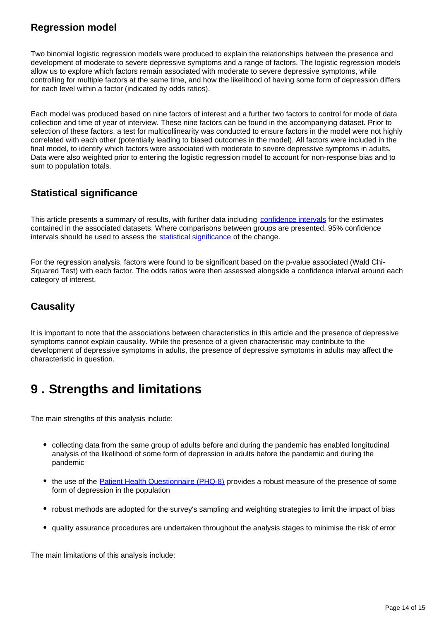## **Regression model**

Two binomial logistic regression models were produced to explain the relationships between the presence and development of moderate to severe depressive symptoms and a range of factors. The logistic regression models allow us to explore which factors remain associated with moderate to severe depressive symptoms, while controlling for multiple factors at the same time, and how the likelihood of having some form of depression differs for each level within a factor (indicated by odds ratios).

Each model was produced based on nine factors of interest and a further two factors to control for mode of data collection and time of year of interview. These nine factors can be found in the accompanying dataset. Prior to selection of these factors, a test for multicollinearity was conducted to ensure factors in the model were not highly correlated with each other (potentially leading to biased outcomes in the model). All factors were included in the final model, to identify which factors were associated with moderate to severe depressive symptoms in adults. Data were also weighted prior to entering the logistic regression model to account for non-response bias and to sum to population totals.

## **Statistical significance**

This article presents a summary of results, with further data including [confidence intervals](https://www.ons.gov.uk/methodology/methodologytopicsandstatisticalconcepts/uncertaintyandhowwemeasureit#confidence-interval) for the estimates contained in the associated datasets. Where comparisons between groups are presented, 95% confidence intervals should be used to assess the [statistical significance](https://www.ons.gov.uk/methodology/methodologytopicsandstatisticalconcepts/uncertaintyandhowwemeasureit#statistical-significance) of the change.

For the regression analysis, factors were found to be significant based on the p-value associated (Wald Chi-Squared Test) with each factor. The odds ratios were then assessed alongside a confidence interval around each category of interest.

## **Causality**

It is important to note that the associations between characteristics in this article and the presence of depressive symptoms cannot explain causality. While the presence of a given characteristic may contribute to the development of depressive symptoms in adults, the presence of depressive symptoms in adults may affect the characteristic in question.

## <span id="page-13-0"></span>**9 . Strengths and limitations**

The main strengths of this analysis include:

- collecting data from the same group of adults before and during the pandemic has enabled longitudinal analysis of the likelihood of some form of depression in adults before the pandemic and during the pandemic
- the use of the [Patient Health Questionnaire \(PHQ-8\)](https://www.phqscreeners.com/) provides a robust measure of the presence of some form of depression in the population
- robust methods are adopted for the survey's sampling and weighting strategies to limit the impact of bias
- quality assurance procedures are undertaken throughout the analysis stages to minimise the risk of error

The main limitations of this analysis include: